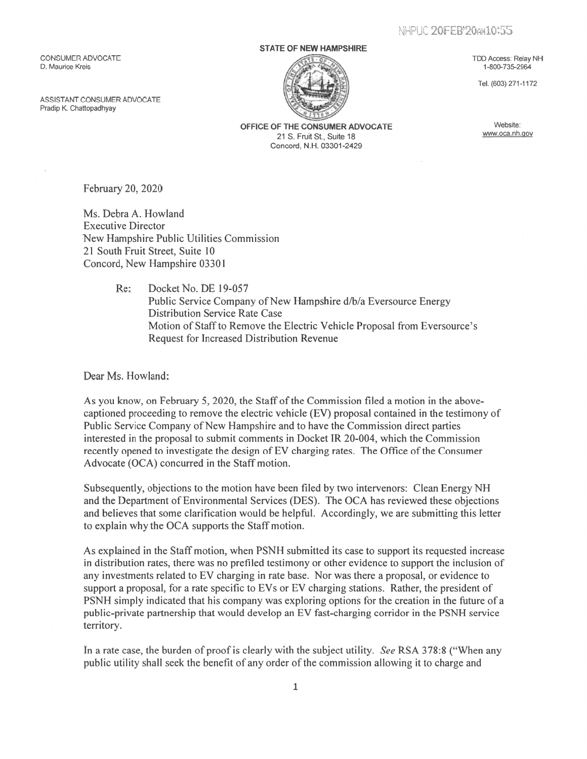NHPUC 20FEB'20ax10:55

CONSUMER ADVOCATE TDD Access: Relay NH<br>
D. Maurice Kreis 1-800-735-2964 D. Maurice Kreis 1-800-735-2964

ASSISTANT CONSUMER ADVOCATE Pradip K. Chattopadhyay

## STATE OF NEW HAMPSHIRE



Tel. (603) 271-1172

OFFICE OF THE CONSUMER ADVOCATE<br>
21 S. En it St. Suite 18 21 S. Fruit St., Suite 18 Concord, N.H. 03301 -2429

February 20, 2020

Ms. Debra A. Howland Executive Director New Hampshire Public Utilities Commission 21 South Fruit Street, Suite 10 Concord, New Hampshire 03301

> Re: Docket No. DE 19-057 Public Service Company of New Hampshire d/b/a Eversource Energy Distribution Service Rate Case Motion of Staff to Remove the Electric Vehicle Proposal from Eversource's Request for Increased Distribution Revenue

Dear Ms. Howland:

As you know, on February 5, 2020, the Staff of the Commission filed a motion in the abovecaptioned proceeding to remove the electric vehicle (EV) proposal contained in the testimony of Public Service Company of New Hampshire and to have the Commission direct parties interested in the proposal to submit comments in Docket JR 20-004, which the Commission recently opened to investigate the design of EV charging rates. The Office of the Consumer Advocate (OCA) concurred in the Staff motion.

Subsequently, objections to the motion have been filed by two intervenors: Clean Energy NH and the Department of Environmental Services (DES). The OCA has reviewed these objections and believes that some clarification would be helpful. Accordingly, we are submitting this letter to explain why the OCA supports the Staff motion.

As explained in the Staff motion, when PSNH submitted its case to suppor<sup>t</sup> its requested increase in distribution rates, there was no prefiled testimony or other evidence to suppor<sup>t</sup> the inclusion of any investments related to EV charging in rate base. Nor was there <sup>a</sup> proposal, or evidence to suppor<sup>t</sup> <sup>a</sup> proposal, for <sup>a</sup> rate specific to EVs or EV charging stations. Rather, the president of PSNH simply indicated that his company was exploring options for the creation in the future of <sup>a</sup> public-private partnership that would develop an EV fast-charging corridor in the PSNH service territory.

In a rate case, the burden of proof is clearly with the subject utility. See RSA 378:8 ("When any public utility shall seek the benefit of any order of the commission allowing it to charge and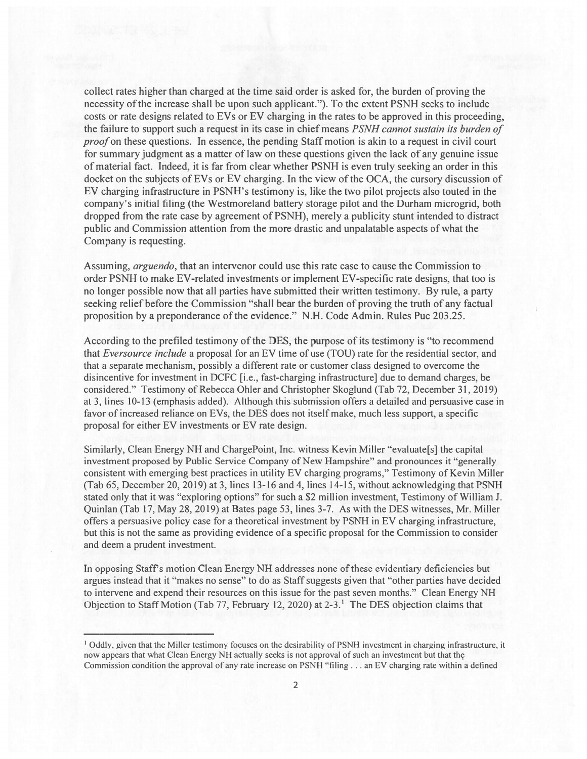collect rates higher than charged at the time said order is asked for, the burden of proving the necessity ofthe increase shall be upon such applicant."). To the extent PSNH seeks to include costs or rate designs related to EVs or EV charging in the rates to be approved in this proceeding, the failure to suppor<sup>t</sup> such <sup>a</sup> reques<sup>t</sup> in its case in chief means PSNH cannot sustain its burden of proof on these questions. In essence, the pending Staff motion is akin to a request in civil court for summary judgment as a matter of law on these questions given the lack of any genuine issue ofmaterial fact. Indeed, it is far from clear whether PSNH is even truly seeking an order in this docket on the subjects of EVs or EV charging. In the view of the OCA, the cursory discussion of EV charging infrastructure in PSNH's testimony is, like the two pilot projects also touted in the company's initial filing (the Westmoreland battery storage pilot and the Durham microgrid, both dropped from the rate case by agreement of PSNH), merely a publicity stunt intended to distract public and Commission attention from the more drastic and unpalatable aspects ofwhat the Company is requesting.

Assuming, arguendo, that an intervenor could use this rate case to cause the Commission to order PSNH to make EV-related investments or implement EV-speciflc rate designs, that too is no longer possible now that all parties have submitted their written testimony. By rule, <sup>a</sup> party seeking relief before the Commission "shall bear the burden of proving the truth of any factual proposition by a preponderance of the evidence." N.H. Code Admin. Rules Puc 203.25.

According to the prefiled testimony of the DES, the purpose of its testimony is "to recommend that Eversource include a proposal for an EV time of use (TOU) rate for the residential sector, and that <sup>a</sup> separate mechanism, possibly <sup>a</sup> different rate or customer class designed to overcome the disincentive for investment in DCFC [i.e., fast-charging infrastructurej due to demand charges, be considered." Testimony of Rebecca Ohler and Christopher Skoglund (Tab 72, December 31, 2019) at 3, lines 10-13 (emphasis added). Although this submission offers <sup>a</sup> detailed and persuasive case in favor of increased reliance on EVs, the DES does not itself make, much less support, a specific proposal for either EV investments or EV rate design.

Similarly, Clean Energy NH and ChargePoint, Inc. witness Kevin Miller "evaluate[s] the capital investment proposed by Public Service Company of New Hampshire" and pronounces it "generally consistent with emerging best practices in utility EV charging programs," Testimony of Kevin Miller (Tab 65, December 20, 2019) at 3, lines 13-16 and 4, lines 14-15, without acknowledging that PSNH stated only that it was "exploring options" for such a \$2 million investment, Testimony of William J. Quinlan (Tab 17, May 28, 2019) at Bates page 53, lines 3-7. As with the DES witnesses, Mr. Miller offers <sup>a</sup> persuasive policy case for <sup>a</sup> theoretical investment by PSNH in EV charging infrastructure, but this is not the same as providing evidence of a specific proposal for the Commission to consider and deem <sup>a</sup> prudent investment.

In opposing Staffs motion Clean Energy NH addresses none ofthese evidentiary deficiencies but argues instead that it "makes no sense" to do as Staff suggests given that "other parties have decided to intervene and expend their resources on this issue for the pas<sup>t</sup> seven months." Clean Energy NH Objection to Staff Motion (Tab 77, February 12, 2020) at 2-3.<sup>1</sup> The DES objection claims that

<sup>&</sup>lt;sup>1</sup> Oddly, given that the Miller testimony focuses on the desirability of PSNH investment in charging infrastructure, it now appears that what Clean Energy NH actually seeks is not approval of such an investment but that the Commission condition the approval of any rate increase on PSNH "filing  $\dots$  an EV charging rate within a defined